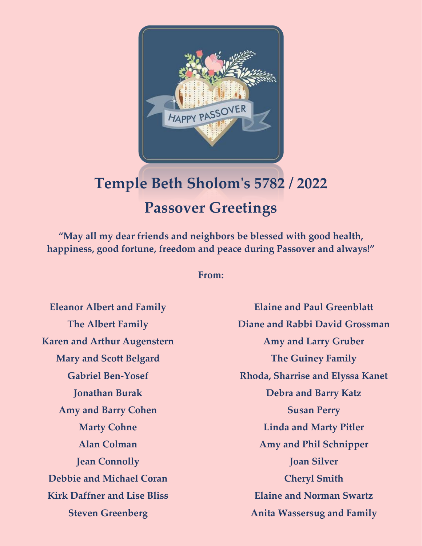

# **Temple Beth Sholom's 5782 / 2022 Passover Greetings**

**"May all my dear friends and neighbors be blessed with good health, happiness, good fortune, freedom and peace during Passover and always!"**

#### **From:**

**Eleanor Albert and Family The Albert Family Karen and Arthur Augenstern Mary and Scott Belgard Gabriel Ben-Yosef Jonathan Burak Amy and Barry Cohen Marty Cohne Alan Colman Jean Connolly Debbie and Michael Coran Kirk Daffner and Lise Bliss Steven Greenberg**

**Elaine and Paul Greenblatt Diane and Rabbi David Grossman Amy and Larry Gruber The Guiney Family Rhoda, Sharrise and Elyssa Kanet Debra and Barry Katz Susan Perry Linda and Marty Pitler Amy and Phil Schnipper Joan Silver Cheryl Smith Elaine and Norman Swartz Anita Wassersug and Family**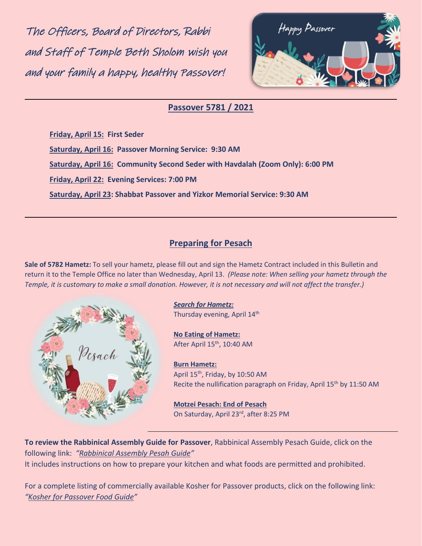The Officers, Board of Directors, Rabbi and Staff of Temple Beth Sholom wish you and your family a happy, healthy Passover!



#### **Passover 5781 / 2021**

**Friday, April 15: First Seder Saturday, April 16: Passover Morning Service: 9:30 AM Saturday, April 16: Community Second Seder with Havdalah (Zoom Only): 6:00 PM Friday, April 22: Evening Services: 7:00 PM Saturday, April 23: Shabbat Passover and Yizkor Memorial Service: 9:30 AM**

#### **Preparing for Pesach**

**Sale of 5782 Hametz:** To sell your hametz, please fill out and sign the Hametz Contract included in this Bulletin and return it to the Temple Office no later than Wednesday, April 13. *(Please note: When selling your hametz through the Temple, it is customary to make a small donation. However, it is not necessary and will not affect the transfer.)*



## *Search for Hametz:*

Thursday evening, April 14<sup>th</sup>

**No Eating of Hametz:**  After April 15<sup>th</sup>, 10:40 AM

**Burn Hametz:**

April 15<sup>th</sup>, Friday, by 10:50 AM Recite the nullification paragraph on Friday, April  $15<sup>th</sup>$  by  $11:50$  AM

**Motzei Pesach: End of Pesach** On Saturday, April 23rd, after 8:25 PM

**To review the Rabbinical Assembly Guide for Passover**, Rabbinical Assembly Pesach Guide, click on the following link: *"[Rabbinical Assembly Pesah Guide](https://www.rabbinicalassembly.org/sites/default/files/2022-03/pesah-guide-5782.pdf)"* It includes instructions on how to prepare your kitchen and what foods are permitted and prohibited.

For a complete listing of commercially available Kosher for Passover products, click on the following link: *"[Kosher for Passover Food Guide](https://www.ok.org/consumers/passover/passover-food-guide/)"*